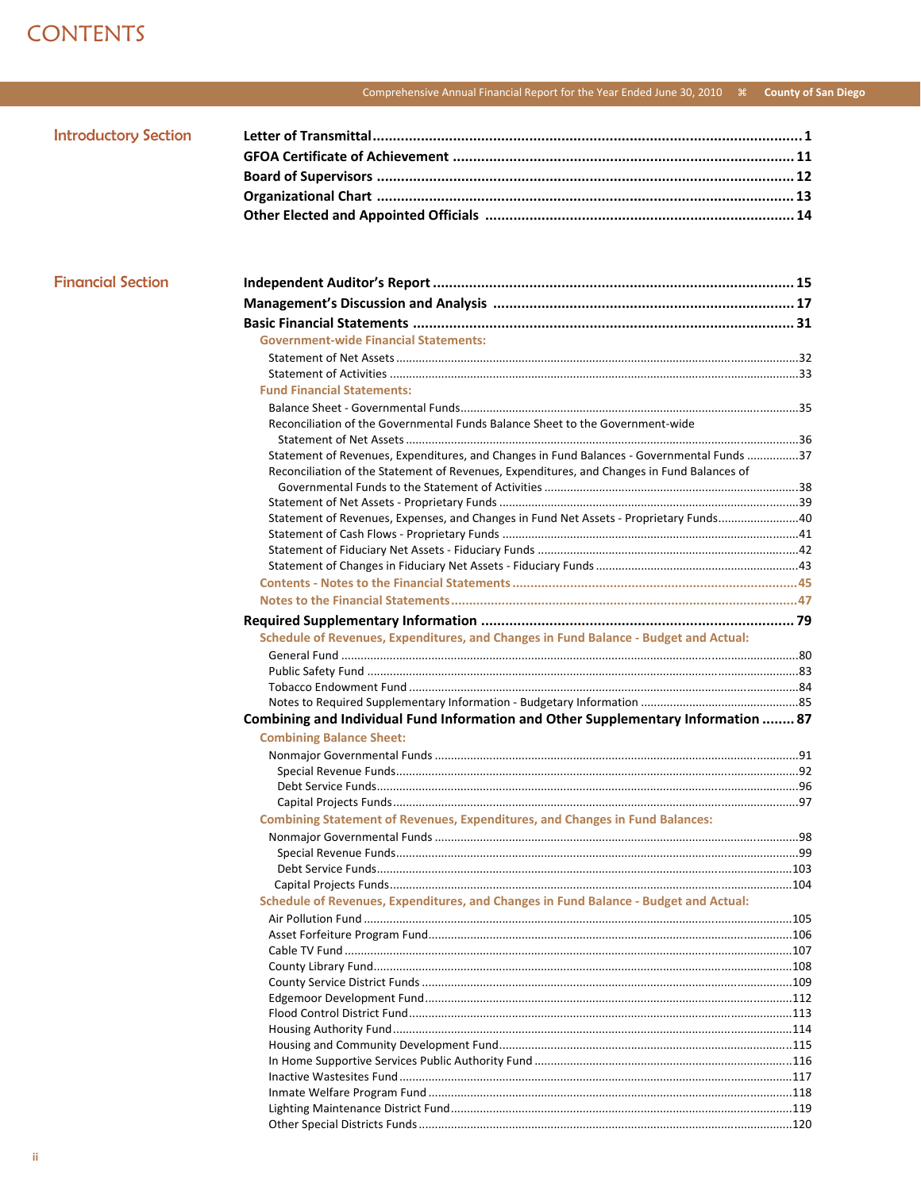## **CONTENTS**

## Comprehensive Annual Financial Report for the Year Ended June 30, 2010 \\ \ County of San Diego

| <b>Introductory Section</b> |  |
|-----------------------------|--|
|                             |  |
|                             |  |
|                             |  |
|                             |  |

| <b>Financial Section</b> |  |
|--------------------------|--|
|                          |  |

| <b>Government-wide Financial Statements:</b>                                               |  |
|--------------------------------------------------------------------------------------------|--|
|                                                                                            |  |
|                                                                                            |  |
| <b>Fund Financial Statements:</b>                                                          |  |
|                                                                                            |  |
| Reconciliation of the Governmental Funds Balance Sheet to the Government-wide              |  |
|                                                                                            |  |
| Statement of Revenues, Expenditures, and Changes in Fund Balances - Governmental Funds 37  |  |
| Reconciliation of the Statement of Revenues, Expenditures, and Changes in Fund Balances of |  |
|                                                                                            |  |
|                                                                                            |  |
| Statement of Revenues, Expenses, and Changes in Fund Net Assets - Proprietary Funds40      |  |
|                                                                                            |  |
|                                                                                            |  |
|                                                                                            |  |
|                                                                                            |  |
|                                                                                            |  |
|                                                                                            |  |
| Schedule of Revenues, Expenditures, and Changes in Fund Balance - Budget and Actual:       |  |
|                                                                                            |  |
|                                                                                            |  |
|                                                                                            |  |
|                                                                                            |  |
| Combining and Individual Fund Information and Other Supplementary Information  87          |  |
|                                                                                            |  |
|                                                                                            |  |
| <b>Combining Balance Sheet:</b>                                                            |  |
|                                                                                            |  |
|                                                                                            |  |
|                                                                                            |  |
|                                                                                            |  |
| <b>Combining Statement of Revenues, Expenditures, and Changes in Fund Balances:</b>        |  |
|                                                                                            |  |
|                                                                                            |  |
|                                                                                            |  |
|                                                                                            |  |
| Schedule of Revenues, Expenditures, and Changes in Fund Balance - Budget and Actual:       |  |
|                                                                                            |  |
|                                                                                            |  |
|                                                                                            |  |
|                                                                                            |  |
|                                                                                            |  |
|                                                                                            |  |
|                                                                                            |  |
|                                                                                            |  |
|                                                                                            |  |
|                                                                                            |  |
|                                                                                            |  |
|                                                                                            |  |
|                                                                                            |  |